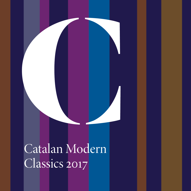## Catalan Modern Classics 2017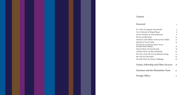## *Contents*

| Foreword                                                        | 3  |
|-----------------------------------------------------------------|----|
| K.L. Reich, by Joaquim Amat-Pinella                             | 4  |
| Carrer Marsala, by Miquel Bauçà                                 | 6  |
| <i>Oceanic Paradise,</i> by Aurora Bertrana                     | 8  |
| The Sea, by Blai Bonet                                          | 10 |
| Chronicles of the Hidden Truth, by Pere Calders                 | 12 |
| <i>Solitude</i> , by Victor Català                              | 14 |
| The Passion According to Renée Vivien,<br>by Maria Mercè Marçal | 16 |
| Natural History, by Joan Perucho                                | 18 |
| A Broken Mirror, by Mercè Rodoreda                              | 20 |
| The Times of the Cherries, by Montserrat Roig                   | 22 |
| Part One, by Cèlia Suñol                                        | 24 |
| The Dolls' Room, by Llorenç Villalonga                          | 26 |
| Grants, Fellowship and Other Services                           | 28 |
| Literature and the Humanities Team                              | 30 |

| Foreign Offices | 31 |
|-----------------|----|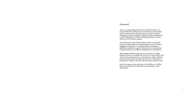### Foreword

This is an outstanding moment for Catalan literature. An exceptionally fine tradition, the seductiveness of modernity and a curiosity about other literatures are all to be found amongst its current strengths, which are further bolstered by a well-established and vibrant publishing industry and the efficient work of literary agents.

One of the goals of the Institut Ramon Llull, as the public institution responsible for broadening the reach of Catalan language and culture, is to support authors, translators, publishers and literary agents with the aim of ensuring that Catalan literature is translated, published and read abroad.

This booklet intends to open up new windows to Catalan Modern Classics. It includes the selection of twelve titles, each with a brief commentary by a contemporary author, offering proof that these classical works not only carry with them a long literary tradition, but also still resonate in today's world.

Join this voyage in time and space, from Mallorca to Tahiti, with a stop at the heart of Barcelona, among many other destinations.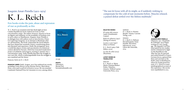## Joaquim Amat-Piniella (1912–1974)

## K. L. Reich

## Few books evoke the pain, abuse and repression of war as profoundly as this

'*K. L. Reich* is an essential work that sheds light on how Catalan Republicans lived, indeed survived, in Nazi concentration camps. The author, however, chooses to focus on dignity and solidarity, on the possibility of freedom even in such a place as Mauthausen. Joaquim Amat-Piniella is in dialogue here with authors such as Imre Kertész, Primo Levi and Jorge Semprún, in an attempt to illuminate what we call humanity. The book compounds the moral debates that have shaped the twentieth century, transforming them into literature and experience. Emili, the protagonist, faces a world that places victims and executioners in a historical context altered by Fascism, which has truncated modernity's project of solidarity and progress, turning it, instead, into a concentration camp. Amat-Piniella describes the struggle to save one's life, which is indistinguishable from the struggle to save mankind and the future.'

Francesc Serés on *K. L. Reich*

**FRANCESC SERÉS** (Saidí, Aragon, 1972) has authored ten novels, including *Contes Russos* (2009; *Russian Stories,* MacLehose Press, 2013) and *La pell de la frontera* (2014). He was awarded Catalonia's National Prize for Literature in 2007, among others.



312 pp.

**RIGHTS** SalmaiaLit Bernat Fiol bernat@salmaialit.com "The sun let loose with all its might, as if suddenly wishing to compensate for the cold of just moments before. Muscles relaxed; a pained defeat settled over the lifeless multitude."

### **SELECTED WORKS**

*El casino dels senyors*  (1956) [Gentleman's Casino] *Roda de solitaries* (1957) [String of Loners] *La pau a casa* (1957) [Peace at Home] *K. L. Reich* (1963; Club Editor, 2005)

*La clau de volta* (2013) [Keystone]

#### **LATEST WORKS IN TRANSLATION**

ENGLISH *K. L. Reich,* tr. Marta Marín-Dòmine/Robert Finley. Waterloo, Ontario: Wilfrid Laurier University Press, 2014

GERMAN *K. L. Reich,* tr. Kirsten Brandt. Vienna: Czernin Verlag, 2016

SPANISH *K. L. Reich,* tr. Baltasar Porcel/Joaquim Amat-Piniella. Barcelona: Edicions 62, 2005; Libros del Asteroide, 2014



**JOAQUIM AMAT-PINIELLA** (Manresa, 1912–Hospitalet de Llobregat, 1974) began writing at a very young age. The Spanish Civil War interrupted his law studies and he volunteered to fight on the Republican side. After the war, he married and exiled himself to France. German forces captured him there and sent him to the death camp at Mauthausen, where he would spend five years. *K. L. Reich* is a semiautobiographical account of this experience. His novels were republished in 2013.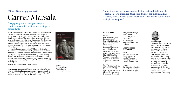## Miquel Bauçà (1940–2005)

## Carrer Marsala

## An epiphany whose sole genealogy is poetic genius, with no literary parentage or descendants

'If you were to ask me what novel I would like to have written, I would immediately respond *Carrer Marsala*. Why? As Bauçà put it, "a writer seeks to express himself rather than simply communicate. The great writers have never felt the need to please anyone other than themselves." Bauçà conjures a universe charged with poetic intensity about a man's wanderings and digressions. Is it a novel? What is a novel? What is Bauçà saying? Is he speaking of the confusion of man? Of the absurd?

I hear, in Bauçà, echoes of the J. V. Foix of *Gertrudis*. Bauçà's writing combines radical language, fidelity to the oral tradition, and a surreal atmosphere somewhere between dream and delirium. His personal drifting and his lonely, squalid death, his sheer linguistic prowess–an undertow seemingly without constraints–and his stout prose, at once arrogant and fragile, created a unique figure and, for the reader, a ride with no safety belt.'

Josep Maria Fonalleras on *Carrer Marsala*

**JOSEP MARIA FONALLERAS** (Girona, 1959) is a writer who has enjoyed critical and commercial success with novels such as *August & Gustau* (2001), among others, or *Climent* (2013), for which he received the Serra d'Or Critics Award.



64 pp.

**RIGHTS**

Grup 62-Planeta Pilar Lafuente plafuente@planeta.es "Sometimes we run into each other by the port, and right away he offers me potato chips. He doesn't like them, but I must admit he certainly knows how to get the most out of the abrasive sound of the cellophane wrapper."

### **SELECTED WORKS**

FICTION *Carrer Marsala* (1985; Labutxaca, 2011) [published in English as part of *The Siege in the Room*, 2012]

*L'estuari (*Edicions 62, 1990) [The Estuary]

*El vellard. L'escarcellera*  (1992; LaButxaca, 2011) [The Old Man. The Warden; published in English as part of *The Siege in the Room*, 2012]

### POETRY

*Una bella història* (1962) [A Beautiful Story] *Notes i comentaris* (1975; Eliseu Climent, 2005) [Notes and Comments]

*En el feu de l'ermitage*   $(2014)$  [In the Dominion of the Hermitage] *El Canvi* (1998; Empúries, 2016) [The Change]

### **LATEST WORKS IN TRANSLATION**

ENGLISH *The Siege in the Room: Three Novellas,* tr. Martha Tennent. Champaign Press, IL.: Dalkey Archive, 2012

FRENCH *Rue Marsala,* tr. Patrick Gifreu. Paris: Éditions de la Différence, 1991



**MIQUEL BAUÇÀ** (Mallorca, 1940 – Barcelona, 2005), Catalan literature's great maverick and recluse, experimental poet and fiction writer, began as a realist and ended as a radical stylist, iconoclast and visionary. Bauçà grew up on a farm in the squalid, post-Civil War years, studied in a religious seminary and attended university in Barcelona. His bestknown work, *El Canvi* is a monumental, unclassifiable work of mixed genres organized into a dictionary.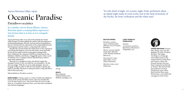Aurora Bertrana (1892–1974)

## Ceanic Paradise the Pacific, far from civilization and the white man."

## Paradisos oceànics

In a similar vein to Karen Blixen, Aurora Bertrana spins a cosmopolitan experience into fiction that is as free as it is uniquely female

'Aurora Bertrana takes us to each of the islands she visited while living in Oceania, gifting the readers with descriptions of enchanting landscapes, diverse customs and local populations that are enriched by her exploration of the relationship between the Europeans and the natives, comparing both cultures.

She lifts the veil and makes the reader privy to her experience: everything that happens, everyone she meets, most especially the locals, the sailors and the young girls awaiting letters from California; the courtesan that shows tenderness for her fatherless children; and Marau, a haggardly queen with a touch of wildness. It is a complex universe that Bertrana is able to relate with authenticity.

Bertrana is a courageous writer; she doesn't negate the foreigner's point of view, nor hide her own prejudices. Yet she does not judge. With the eye of an anthropologist, she tries to gauge reality in order to offer it to the reader as openly and freely as possible. She does so with prose that is crisp and direct, full of color and irony.'

Maria Barbal on *Paradisos oceànics*

**MARÍA BARBAL** (Tremp, 1949) is a writer of adult and children's fiction, both novels and short stories. She was awarded the Creu de Sant Jordi in 2001. Her novel *Pedra de tartera* (1985, *Stone in a Landslide*, Peirenne Press, 2010) has been translated into thirteen languages.



162 pp.

### **RIGHTS**

Rata editorial Iolanda Bethencourt ibethencourt@grec.cat "It is the dead of night. An oceanic night, fresh, perfumed, silent …

#### **SELECTED WORKS LATEST WORKS IN TRANSLATION**

**SPANISH** 

*Los paraísos oceánicos.*  Barcelona: Ediciones la Tempestad, 2013

*Paradisos oceànics*  (1930; Columna; Rata editorial, 2017) [Oceanic Paradise] *Marroc sensual i fanàtic*  (1936; Rata editorial, 2018) [Sensual, fanatical Morocco] *Tres presoners* (1957;

Club editor, 2007) [Three Prisoners]

*Memòries* (1973, 1975) [Memoirs]

**AURORA BERTRANA** (Girona, 1892–Berga, 1974) was the daughter of writer Prudenci Bertrana. She began traveling at a young age, and studied music at the conservatories in Barcelona and Geneva, where she formed Europe's first jazz band composed exclusively of women. She moved with her husband to French Polynesia in 1926, where they lived for three years. She became a successful and courageous travel writer.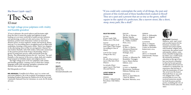## Blai Bonet (1926–1997)

# The Sea

## El mar

### Its high voltage prose palpitates with vitality and humble grandeur

'*El mar* is pleasure: the novel seduces and fascinates right from the start; it seizes the reader and tightens its grip, leading us to an inner world full of undercurrents, passions and quickenings, pockets of calm and ecstasy. The Sea is a luminous, potent work of literature written in innovative, abrasive prose, at turns explosive, tender and mystical, always intricate. It is storytelling that is straightforward yet filled with symbolism, forming a truly poetic whole. Thirty-two chapters in the alternating voices of the two protagonists–Manuel Tur and Andreu Ramallo–tell of life inside a tubercular sanatorium in the postwar period of the Franco dictatorship, where a group of young men survive, suffer and perish from the disease. The relationship between the two "war boys," Tur and Ramallo, is the marrow of the story, a deep, dark and complex bond steeped in forbidden desire and religious fervor.

The high voltage prose of *El mar* palpitates with vitality and humble grandeur, creating a text in which the Catalan language swells with meaning, metaphor, sensations and illusions that radiate with relentless energy.'

Biel Mesquieda on *El mar*

### **BIEL MESQUIDA** (Castellón de la Plana, 1947) is a writer and poet from Mallorca. He is the recipient of prestigious awards, including Prudenci Bertrana for *L'adolescent de sal* (1973) and Catalonia's National Prize for Literature, in 2006, for *Els detalls del món*.



256 pp.

### **RIGHTS**

Salmaialit Bernat Fiol bernat@salmaialit.com "If you could only contemplate the unity of all things, the past and present of this world and of these handkerchiefs soaked in blood! They are a past and a present that are as tiny as the green, sullied square in the capital of a prefecture, like a narrow street, like a short, steep, stony path, like a skull."

### **SELECTED WORKS**

FICTION *El mar* (1958; Club Editor, 2011) [The Sea] POETRY *L'Evangeli segons un de tants* (1967) [The Gospel According to One of Many] *Cant de l'arc* (1979) [Song of the Arc] DIARY *Els ulls (Diari primer)*  (1973) [The Eyes (First Diary)]

*La mirada (Diari segon)* (1975) [The Gaze (Second Diary)]

#### **LATEST WORKS IN TRANSLATION**

SPANISH *El mar,* tr. Eduard Jordà. Barcelona: Club Editor, 2016

ENGLISH *The Sea*, tr. Maruxa Relaño/ Martha Tennent. Champaign, IL.: Dalkey Archive Press, 2014

RUSSIAN *El Mar*, tr. Marina Abràmova/Ekaterini Guixina. Moscow: Strategia, 2002

ITALIAN *Il mare*, tr. Alfonsina De Benedetto. Viareggio-Lucca: Mauro Baroni Editore, 2002

FRENCH *La mer*, tr. Mathilde Bensoussan. Gardonne: Éditions Fédérop, 2002

ROMANIAN *Marea*, tr. Jana Balacciu / Joan M. Ribera. Bucarest: Meronia, 2002

### SERBIAN *More*, tr. Aleksandar Grujicic. Belgrad: Paideia, 2003 SLOVENIAN

*Morje*, tr. Simona Škrabec. Ljubljana: Center za slovensko knjizevnost, 2014 POLISH *Morze*, tr. Dominik Tomaszewski. Poznan:

Rebis, 2003

**BLAI BONET** (Santanyí,

Mallorca, 1926–1997), poet and novelist known for his luminous, mordant and sensual voice preoccupied with freedom, religion and mysticism, the natural word and popular culture, came from a humble background: his father was a stable hand. He started his seminary education at the age of ten, but was forced to abandon it when he became gravely ill with tuberculosis and was confined to a sanatorium, an experience that led him to write his masterpiece *El mar*. The novel won the Joanot Martorell Prize in 1957 and was adapted into a wellreceived film in 2000. He received numerous awards for both his prose and his poetry, including the City of Barcelona Award (1963 and 1992).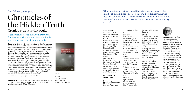### Pere Calders (1912–1994)

## Chronicles of the Hidden Truth

## Cròniques de la veritat oculta

### A collection of stories filled with irony and fantasy that push the limits of verisimilitude with humor and a touch of melancholy

*'Unexpected Certainty. True, yet inexplicable. The Disconcerting Scenario.* These are the titles of the three sections of the short story collection that I read in school; I still remember them as my first open window onto an inconceivable kind of dailiness. An open window that was unexpected, inexplicable and disconcerting, which Calders's whim conjured or caused to disappear inside my head: a gardener who finds a left hand in a yard, a killer with a guilty conscience, a land surveyor who never manages to make it back to his mobile home, however much he tries… later I would encounter a similar atmosphere in Buzzati, Calvino and Kafka, but these authors were darker, more dispirited. Calders was witty and funny, even if over the years I learned to detect a layer of melancholy, a lucid disenchantment caused by the Civil War and his exile to Mexico. For Calders, humor was both the means and the end, the best defense against a world that seemed absurd, unpredictable, inexplicable and disconcerting.'

Marina Espasa on *Cròniques de la veritat oculta*

**MARINA ESPASA** (Barcelona, 1973) is a novelist, television writer, cultural journalist and translator. She is the author of two novels, most recently *El dia del cèrvol*.



352 pp.

**RIGHTS** Grup 62-Planeta

Pilar Lafuente plafuente@planeta.es "One morning, on rising, I found that a tree had sprouted in the middle of the dining room. [...] If this was possible, anything was possible. Understand? [...] What a mess we would be in if the dining rooms of ordinary citizens became the place for such extraordinary events!"

### **SELECTED WORKS** *La Glòria del doctor Larén* (1936; Edicions 62, 1994) [Dr. Larén's Gloria] *Cròniques de la veritat oculta* (1955; Edicions 62-Educaula, 2013)

[Chronicles of the] Hidden Truth] *L'ombra de l'atzavara*  (1964; Labutxaca, 2010) [The Shadow of the Agave] *Ronda naval sota la boira* (1966; La

Magrana, 2009) [Naval Patrol in the Fog] *Invasió subtil i altres contes* (1979; Educaula, 2009) [Subtle Invasion and Other Stories]

#### **LATEST WORKS IN TRANSLATION**

GERMAN *Revolte im Dachgeschoss*  (Anthology), tr. GretSchibTorra. Köln:

Dumont Buchverlag, 2005

ROMANIAN *Mâine în zori, la trei* (Anthology), tr. Jana Balacciu Matei. Bucarest: Meronia, 2003

SLOVENIAN *Kronike prikrite resnice,*  tr. Simona Škrabec. Ljubljana: Center za slovensko knjizevnost, 2002

FRENCH *Chroniques de la vérité cachée*, tr. Bernard Lesfargues. Canet de Rosselló: Trabucaire, 2002 *Ici repose Nevares,* tr. Denis Amutio/ Robert Amutio. Montréal:

Éditions Les Allusifs, 2004

RUSSIAN *Aquí descansa Nevares* (Russian), tr. Elena Golubeva. Saint Petersburg: St. Petersburg University Press, 2006

**SPANISH** *Aquí descansa Nevares y Gente del altiplano,*  tr. Josep Maria Murià. México D.F.: Fondo de Cultura Económica,

2004 *Exploración de islas conocidas* (Anthlogy), tr. Marta Noguera / Carlos Guzmán Moncada. México D.F: Libros del Umbral,  $2004$ 

*Ronda naval bajo la niebla*, tr. Carlos Guzmán Moncada / Marta Noguer Ferrer. Guadalajara: Ediciones Arlequín, 2004 *Ruleta rusa y otros cuentos* (Anthology), tr. Joaquín Jordà.

Barcelona: Anagrama-Compactos, 2007

**PERE CALDERS** (Barcelona, 1912–1994), a master of the short story and author of several novels, is considered one of the greats of literature in Catalan. He studied Fine Arts and worked as a journalist and illustrator. The war diary he penned while serving in the Republican front is one of the most important literary documents to come out of the Spanish Civil War. After a stint in a concentration camp, he was exiled in Mexico for more than twenty years, where he continued to write and publish. He returned to Barcelona in 1962 and won the Sant Jordi Prize the following year for *L'ombra de l'atzavara*.

 $12$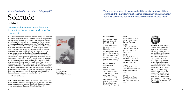## Victor Català (Caterina Albert) (1869–1966)

## Solitude

## Solitud

## Our own *Pedro Páramo*, one of those rare literary finds that so moves us when we first encounter it

'Mila and her husband move into a chapel at the top of a mountain. It is March, 1904, and Caterina Albert has settled on the pen name Victor Català to publish her most important novel–*Solitud*–as a serial. I have always thought of it as our own *La femme rompue* by Simone de Beauvoir or *Pedro Páramo* by Juan Rulfo, novels that were foundational for an entire generation as well as absolute must-reads. *Solitud* was published as a serial for good reason: it is such a monumental work of literature that if it had arrived in one installment we would likely still be in awe. It came out in one volume in 1909, and we haven't stopped reprinting it and celebrating it since. This is our book, written in a country where women have shaped literary memory at key moments for contemporary literature in Catalan. Caterina Albert is the greatest representative of this literature. And so is her protagonist, Mila, who retreats to a hermitage in the middle of the Empordà region with a man so dull it will be as if she were alone. Alone, or perhaps with her readers, who will remain at her side until she manages to find herself in the midst of this novel that is considered modernist but that I regard as radically modern. It is one of those rare literary finds that so moves us when we first encounter it. It is, without a shadow of a doubt, a classic, an essential discovery.'

Lolita Bosch on *Solitud*

**LOLITA BOSCH** (Barcelona, 1970), writer of adult and children's fiction, studied philosophy and has lived in the US, India, and, for the past decade, in Mexico City. She is the author of many books, among them, the novel *Elisa Kiseljak* (2005).



400 pp.

#### **RIGHTS** Grup 62-Planeta

Pilar Lafuente plafuente@planeta.es "As she passed, wind-stirred oaks shed the empty thimbles of their acorns, and the tiny flowering branches of rosemary bushes caught at her skirt, sprinkling her with the frost crystals that covered them."

### **SELECTED WORKS**

*Drames rurals* (1902; Edicions  $62, 2011$ [Rural Drama] *Solitud* (1904-1905; Labutxaca, 2014) [Solitude] *Un film: 3000 metres* 

(1926; Club editor, 2015) [A Film: 3000 meters] *La mare Balena (1920)*  [The Mother Whale]

### **LATEST WORKS IN**

**TRANSLATION** GERMAN *Solitud*, tr. Petra Zickmann. Munich: SchirmerGraf Verlag, 2007; and Piper Taschenbuch, 2009 *Erzählungen*, tr. Claudia Kalász/ Evelyn Patz Sievers. Hamburg: Lehmweg Verlag, 2015

DUTCH *Eenzaamheid*, tr. Elly Bovée. Amsterdam: Thomas Rap, 2011

SPANISH *Soledad*, tr. Basilio Losada/ Lolita Bosch. Madrid: Lengua de Trapo, 2009

ENGLISH *Solitude*, tr. David H. Rosenthal. London & Columbia, LA: Readers International, 1992

FRENCH *Solitude*, tr. François-Michel Durazzo/ Marcel Robin. Paris: Phébus, 2014

ITALIAN *Solitudine*, tr. Ursula Bedogni/ Francesco Ardolino. Rome: Elliot, 2015



**CATERINA ALBERT** (L'Escala, Girona, 1869–1966) was a writer of extraordinary talent who is nevertheless not well-known. In pursuit of artistic freedom, she was forced by historical circumstance to hide behind the pen name of Víctor Català. She wrote two novels and nearly onehundred short stories. Her masterpiece of modernist literature, *Solitud*, was initially serialized in the magazine *Joventut*, where she was a contributor. An overview of her work was anthologized in 2017 under the title *De foc i de sang* [Of Fire and Blood].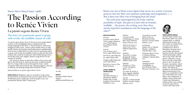## The story of a passionate quest to grasp, with words, the ineffable transit of a life '*La passió segons Renée Vivien* is the story of an unarticulated scream, of an unintelligible silence translated into the foreign language of the other. A choral narrative, chimerical,

to Renée Vivien

La passió segons Renée Vivien

Maria-Mercè Marçal (1952–1998)

The Passion According

ambiguous and ecstatic, written with invisible ink by an odd, motley retinue of prostitutes and bodies grown unfathomable from excess or deprivation. It is the story of a passionate quest to grasp, with words, the ineffable transit of a life: the life of the woman who, amid the translucent veils of Belle Époque Paris, for the first time since Sappho, dared to sing the love of one woman for another.

Life, however, always escapes the confines of our story, and that is why this book is, above all, the story of defeat foretold: that of a voyage with no return through the many, varied, encounters that reflected back, like a phantasmagoric echo lost to oblivion, the fleeting mirage that was Renée Vivien.'

Maria Sevilla on *La passió segons Renée Vivien*

### **MARIA SEVILLA** (Badalona, 1990) is currently at work on her doctoral thesis on Marçal's novel *La passió segons Renée Vivien.* Sevilla's first poetry collection, *Dents de polpa* (2015), was awarded the Bernat Vidal i Tomàs prize.

"Renée was one of those iconic figures that serves as a screen: everyone projects onto her their own intimate symbology and imagination. [...] But is there any other way of bringing back the dead?

The soul's pain interrogated by the body, without possibility of reply. The pain of a lack with no bounds, ineffable… the poems, the writing, were they, then, merely imperfect translations into the language of the other?"

### **SELECTED WORKS**

FICTION *La passió segons Renée Vivien* (1994; Labutxaca, 2007) [The Passion According to Renée Vivien] POETRY *Cau de llunes* (1977; Proa, 1998) [Moon Den] *Sal oberta* (198; Edicions 62, 1998) [Open Salt] *Desglaç* (1988, Raig verd, 2012) [The Thaw] Edition Delta, 2008

*Raó del cos* (2000) [The Body's Reason]

### **LATEST WORKS IN**

**TRANSLATION**

ENGLISH *The Body's Reason,* tr. Montserrat Abelló/ Noèlia Díaz Vicedo. London: Francis Boutle Publishers, 2014

FRENCH *Trois fois rebelle* (Anthology), tr. Annie Bats. Paris: Éditions Bruno Doucey, 2013 *Tanière de Lunes*, tr. Anna Serra. Paris: Éditions Supernova,

2016 GERMAN

SPANISH

ITALIAN

Editrice, 2007

*Tauwetter,* tr. Juana Burghardt/ Tobias Burghardt. Stuttgart:

*Deshielo,* tr. Clara Curell. Tarragona: Igitur, 2004

*Con hilos de olvido*, tr. Neus Aguado. Madrid: Sabina Editorial, 2016

*Disgelo,* tr. Maria Pertile. Ferrara: Luciana Tufani

tr. Simona Škrabec.

ROMANIAN *Antologie poetica* (Anthology), tr. Jana Balacciu Matei.

*La passione secondo Renée Vivien,* tr. Brunilla Servidei. Ferrara: Luciana Tufani Editrice, 2007

SLOVENIAN *Staljeni led,* tr. Simona Škrabec. Ljubljana: Zalozba Skuc, 2009 *Pasijonpo Renée Vivien,* 

Ljubljana: Zalozba Skuc, 2011

Bucarest: Meronia, 2012

first writer in Catalan letters to touch on the theme of lesbian love. Born in Barcelona, she grew up in rural Lleida, and always kept her bond to the natural world and popular culture alive in her work. Her first poetry collection, *Cau de llunes* won the Carles Riba prize in 1976. In 1980 she became a secondary school teacher and had a daughter, Heura. The theme of pregnancy and motherhood figure prominently in her poetry, as would later be the case with lesbian love and illness. Her translations of authors such as Yourcenar, Colette and Akhmatova influenced her own writing. *La passió segons Renée Vivien* is her only novel.

**MARIA-MERCÈ MARÇAL**  (Ivarsd'Urgell, Lleida, 1952– Barcelona, 1998) was a poet of great talent, a cultural and feminist activist, the



400 pp.

### **RIGHTS**

Fundació Maria-Mercè Marçal publicacions@fmmm.cat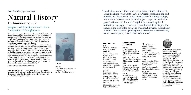### Joan Perucho (1920–2003)

## Natural History

## Les històries naturals

## Vampire novel through the lens of culture: fantasy refracted through reason

'How does one approach a work such as *Les històries naturals*? A first reading might lead us to view the novel as merely the transplanting of the vampire myth to Catalan lands. Both the appearance of a vampire terrorizing a small town, and the medieval noble knight Onofre de Dip turned bloodthirsty beast, bring to mind Stoker or Polidori.

Perucho, however, wishes to engage the reader's mind. We witness a vampire hunt, yes, but the manner of the hunt owes much to the rational ability of the protagonist, Antoni de Montpalau, botanist and knight, the voice of science who seeks to shed light on the myth, yet is nevertheless swept away by it. Here we find nineteenth century drawing-room positivism, high-culture references, the dissecting of the monster, but also an open door to our irrational fears and the regression and horror of war, the whole of it interwoven with a subtle sense of humor that will test the cultural baggage of the reader. A delirium of reason, a masterclass of fantasy.'

Marc Pastor on *Les històries naturals*

**MARC PASTOR** (Barcelona 1977) is the author of five novels, including *La Mala Dona*. He also works in the forensic science department of the Catalan police force. His work has been translated into eight languages.



272 pp.

**RIGHTS** Ute Körner Literary Agency Sandra Rodericks sandra.rodericks@uklitag.com "The shadow would slither down the rooftops, coiling, out of sight, along the chimneys of Santa Maria de Queralt, curdling in the cold morning air. It was partial to dark mansards with sloping ceilings, to the worn, depleted wood of aerial pigeon coops. As the shadow passed, critters reared in stifled, rigid silence, searching for the farthest corner. Sapped of energy, it would uncoil from its position and, in a fine stria of fog or smoke, fly, almost invisible, to its chosen lookout. Then it would again begin to swirl around a corporal axis, with a certain apathy, a weak, deflated stamina."

### **SELECTED WORKS** FICTION

*Llibre de cavalleries* (1957) [Chivalric Romance] *Les històries naturals* (1960; Edicions 62-Educaula, 2011) [Natural History] *Les aventures del cavaller Kosmas* (1981) [The Adventures of the

Knight Kosmas] POETRY *Sota la sang* (1947) [Beneath the Blood]

*Aurora per vosaltres*  $(1951)$ [Aurora to You] *El médium* (1954)[The Medium]

*El país de les meravelles*   $(1956)$  [Wonderland]

**LATEST WORKS IN TRANSLATION** 

ITALIAN *Le Storienaturali,* tr. Angelo Morino/ Sonia Piloto di Castri. Milano: Rizzoli,1989

*Il Librodeicavalieri,* tr. Patrizio Rigobon. Rome: Biblioteca del Vascello,

1995 *Giorni di Sicilia e di Germania,* tr. Giovanni Miraglia. Valverde: Il Girasole Edizione, 2003

ENGLISH *Natural History,* tr. David H. Rosenthal (New York: Ballantine Books; and London: Minerva, 1990).

BULGARIAN *тории*. Sofia: Vessela Lutskanova Publishers,

GERMAN *Der Nachtkauz,* tr. Sabine Ehrhart. Frankfurt am Main: Fischer, 1992

SPANISH

2003)

*Ein Ritterroman,* tr. Jürg Koch. Frankfurt am Main: Fischer, 1993

*Botánica oculta el falso paracelso*. Barcelona: Edhasa, 2003

*Las historias naturales.*  Barcelona: Edhasa, 2003

*ПочтиПриродниИс-*



**JOAN PERUCHO** (Barcelona, 1920–2003) A prolific, learned and versatile poet, novelist, essayist, and art critic, lived through the Spanish Civil War and studied law at the University of Barcelona, later becoming a judge. He was a writer for the magazine *Destino*, a columnist for the newspaper *La Vanguardia*, and literary director at a publishing house. His prose is known for its cultured references and use of intertextuality. The Ramon Llull, the Sant Jordi Cross, and Catalonia's National Prize for Literature are among the honors he was awarded.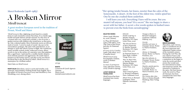## Mercè Rodoreda (1908–1983)

## A Broken Mirror

## Mirall trencat

## A great modern European novel in the tradition of Proust, Woolf and Mann

'*Mirall trencat* is like a lightning-struck laurel in a stately home in early twentieth-century Barcelona. It is a family saga, backlit and pink-haloed, entrails exposed. It is the story of a woman and a rat, a maid and a murder, a clot of secrets, a garden overrun with children who wreak havoc as they grow up. Like a talented spider, Mercè Rodoreda weaves an intricate mesh of words–"a novel is made of words," she says in the extraordinary prologue. She spins webs amid flowers, in an attempt to catch that which is prone to flight. Her translucent, nearly invisible writerly stroke, iridescent at turns, allows secrets to rise to the surface of a narrative voice that palpitates like a caged beast. Captivated by a wealthy family's deepest, most intimate passions and aggressions, the reader dances barefoot on this broken mirror, and slips on his own blood– his blood that is also the blood of others. *Mirall trencat* is a masterpiece by a brilliant author.'

Martí Sales on *Mirall trencat*

**MARTÍ SALES** (Barcelona, 1979) is a poet and novelist, rock musician, and translator working mostly from English. He is the author of *Principi d'incertesa* (2015) and *Huckleberry Finn* (Bookthug, 2015), among others.



276 pp.

### **RIGHTS**

Casanovas & Lynch Agencia Literaria Maria Lynch maria@casanovaslynch.com

"Her spring-tender breasts, her knees, sweeter than the calyx of the honeysuckle. A desert. At the foot of the oldest tree, violets spied her. One by one she crushed them underfoot.

I will leave you rich. Everything I have will be yours. But you mustn't tell anyone, you hear? It's a secret." She was happy to share a secret with her father. A secret: a few words spoken in hushed tones to prevent even the birds from eavesdropping."

### **SELECTED WORKS**

*Aloma* (1938; Edicions 62, 2016) [Aloma] *La Plaça* del Diamant (1962; Club editor, 2016) [The Time of the Doves, and also, In Diamond Square] *El Carrer de les Camèlies* (1966; Club editor, 2017) [Camellia Street] *Mirall trencat* (1974; Enciclopèdia Catalana, 2008) [A Broken Mirror] *La mort i la primavera*  (1993, Ediciones Turner,

2009) [Death in Spring]

#### **LATEST WORKS IN TRANSLATION**

*Mirall trencat* has been translated into twenty languages.

ENGLISH *Death in Spring,* tr. Martha Tennent. Rochester, NY: Open Letter Press, 2009

*The Selected Stories of Mercè Rodoreda,*  tr. Martha Tennent. Rochester, NY: Open Letter Press, 2011

*In Diamond Square,* tr. Peter Bush. London: Virago Press, 2013

*War, So Much War,* tr. Martha Tennent/ Maruxa Relaño. Rochester, NY: Open

Letter Press, 2015 FRENCH

*Tant et tant de guerre,* tr. Bernard Lesfargues. Paris: Gallimard, 2008

*Miroir brisé*, tr. Bernard Lesfargues. Paris: Éditions Autrement, 2011

*Voyages et fleurs,* tr. Bernard Lesfargues. Gardonne: Éditions Fédérop, 2013

> ITALIAN *Giardino sul mare,* tr. Giuseppe Tavani. Rome: La Nuova Frontiera, 2010

*Aloma,* tr. Giuseppe Tavani. Rome: La Nuova Frontiera, 2011

*Specchio infranto,* tr. Giuseppe Tavani. Rome: La Nuova Frontiera, 2013

*Quanta, quanta guerra,*  tr. Stefania Maria Ciminelli. Rome: La Nuova Frontiera, 2016

2014

GERMAN *Der Garten über dem Meer,* tr. Kirsten Brandt. Hamburg: Mare Verlag,



### **MERCÈ RODOREDA**

(Barcelona, 1908–Girona, 1983) is considered one of the most important and influential Catalan writers of the twentieth century. During the Civil War, she was exiled in France and Switzerland and worked as a seamstress as she began to write the novels and short stories that would earn her international acclaim and numerous awards. She returned to Catalonia in the 1960s. Her best-known work, the novel *La Plaça del Diamant*, has been translated into more than forty languages.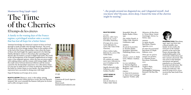## Montserrat Roig (1946–1991)

## The Time of the Cherries

## El temps de les cireres

A family in the waning days of the Franco regime; a privileged window onto a society that has lost all hope for a better future

'Intimate knowledge of a historical context we have not lived through is made possible only through literature. The novel *El temps de les cireres* brings readers closer to the realities of life at the end of the Franco dictatorship, a time when the hopes of those who had fought the regime appeared to be faltering. Natàlia Miralpeix returns to Barcelona after spending time abroad. She encounters a society in flight from itself. The world of the old bourgeoisie of the Eixample neighborhood no longer exists–it has migrated uptown, where the men are preoccupied with making money and the women with losing weight, while the youth waver between historical oblivion and the unease caused by the dictatorship's repression. It is a Barcelona where it is not easy to make love or to have an abortion. Keeping alive the belief in a better future is even harder: the long years of repression have succeeded in doing away with hope.'

Najat El Hachmi on *El temps de les cireres*

**NAJAT EL HACHMI** (Morocco, 1979), is the author, among others, of the novels *L'últim patriarca* (2008; The Last Patriach, Serpent's Tail, 2010) awarded the Ramon Llull prize for fiction and *La filla estrangera* (2015).



272 pp.

### **RIGHTS**

Casanovas & Lynch Agencia Literaria Maria Lynch maria@casanovaslynch.com

"...the people around me disgusted me, and I disgusted myself. And you know why? Because, down deep, I feared the time of the cherries might be nearing."

### **SELECTED WORKS**

FICTION *Ramona, adéu* (1972; Edicions 62, 2009) [Goodbye, Ramona] *El temps de les cireres* (1976; Edicions 62, 2016) [The Time of the Cherries] *L'hora violeta* (1980; Edicions 62, 2001) [The Violet Hour] NONFICTION *Els catalans als camps nazis* (1977, Edicions 62, 2017) [Catalans in the Nazi Camps]

*L'agulla daurada* (1985, Labutxaca, 2010) [The Golden Needle]

### **LATEST WORKS IN TRANSLATION**

GERMAN *Zeit der kirschen,* tr. Volker Glab/ Michi Strausfeld. Moos & Baden-Baden: Elster, 1991 *Die violette Stunde,* tr.

Volker Glab. Munich: Goldmann, 1998

HEBREW *El cant de la joventut*, tr. Itai Ron Hadar. Jerusalem: Rimonim Publishing House, 2004

ITALIAN *Amore e ceneri,* tr. Hado Lyria. Milano: Anabasi, 1994

*La voce melodiosa,*  tr. Patrizio Rigobon. Bergamo: Università di Bergamo, 1997

FRENCH *Le chant de la jeunesse,*  tr. Marie-José Castaing. Lagrasse: Verdier, 1989

*Mémoires de Barcelone,*  tr. Víctor Mora/ Annie Goetzinger. Sèvres: La Sirène, 1993

> SPANISH *La aguja dorada*. Barcelona: Planeta-Agostini, 2000 *El canto de la juventud*. Barcelona: El Aleph Editores, 2001

*Dime que me quieres aunque sea mentira*, tr. Antonia Picazo. Barcelona: Península, 2001 CHINESE *Yinghao Shijie,*  tr. Deming Li. Heilongjiang: Heilujiang Renmin Chu Ban She,

1996



**MONSERRAT ROIG** (Barcelona, 1946–1991) was born into a liberal middle-class family. In her youth, she took part in the student protests at the end of the Franco dictatorship. She studied philosophy at the University of Barcelona and later earned a doctorate. She was active in the feminist movement and gained popularity as a journalist for print and television. She wrote five novels and six books of nonfiction. Her novel *El temps de les cireres*  received the Sant Jordi Prize in 1976.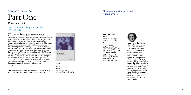## Cèlia Suñol (1899–1986)

## Part One

## Primera part

### Our very own Bartleby with touches of Juan Rulfo

'We've been told that the sentimental novel reflects dependency and conservative values, is full of outmoded sentiments and stories that are bogged down by cliché. *Primera Part*, however, conveys a powerful emotional charge, a love that is absolute. It is an autobiographical novel written by a woman, and despite this, or perhaps because of it, Cèlia Suñol the author and Helena the protagonist seize upon a sense of freedom and personal autonomy. The optimism of mankind, the rebellion of women, love, illness and survival–the themes are not new, but Suñol's lyrical prose and tenderness make this a very powerful story. Helena and Cèlia fall ill, fall in and out of love, endure relapses and melancholy, have a child and survive, and they do so hand in hand, offering us a glimpse of a nomadic existence, a real life that swims against the current and is full of a captivating romanticism. *Primera Part* is an unforgettable novel on a par with the great classics of European literature. It is time to rediscover her.'



**JENN DÍAZ** (Barcelona, 1988) is the author of five novels. Her first is *Belfondo* (2011), and her last, *Mare i filla* (2015).



adesiara

395 pp.

**RIGHTS** Adesiara Joachim de Nys rights@adesiaraeditorial.cat "I look out onto the great void within my heart ..."

#### **SELECTED WORKS**

NOVEL *Primera Part* (1947; Adesiara, 2014) [Part One]

SHORT FICTION *L'Home de les fires i altres contes* (1950) [The Man at the Fairgrounds and Other Stories]

*El Bar; El nadal d'en Pablo Nogales* (2016) [The Bar; Pablo Nogales's Christmas]



**CÈLIA SUÑOL** (Barcelona, 1899–1986) was born into a middle-class family that afforded her a good education. She made an early show of courage when she married her first husband, a Dane, against her family's wishes. After his death, she faced considerable hardship before remarrying. She worked as a vacuum cleaner salesperson, an archivist, a reader for a publisher, and as secretary for the cultural department of the Catalan government. She had two children, and wrote her only novel, an autobiographical work of fiction, for them.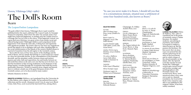## Llorenç Villalonga (1897–1980) The Doll's Room

## Bearn

## *The Leopard* before Lampedusa

'The gods willed it that Llorenç Villalonga's *Bearn* (1956) would be published before the much-celebrated *The Leopard* (1958), by Giuseppe Tomasi di Lampedusa. Had it been the other way around, many of us might have suspected plagiarism, or perhaps seen the Catalan novel as a homage that was too close to the source. What happened, instead, was a great deal more felicitous: two great writers from similar social and cultural backgrounds (Villalonga's Mallorca and Lampedusa's Sicily) happened to write about the same idea, evoking facts and arguments with significant parallels. The result is that we now have two magnificent novels that appear to be in dialogue with each other, shedding light on the social transformation of the islands of the western Mediterranean in a period of transition from the old regime to the twentieth century.

*Bearn* tells the story of Don Toni, master of the dwellings and the lands of Bearn, and of a family that belongs to a rural aristocracy mired in a slow but inexorable decline. In the contemplation of this beautiful downfall–and the attendant conflict between reason and instinct, passion and order, faith and superstition, lies and loyalty, between an old world that refuses to die and a new one that has yet to be born–we find the foundation of this moving meditation on the finiteness of all things human, revealed through the vicissitudes that befall the novel's memorable characters. Written in masterly prose, elegant and layered, *Bearn* is without a doubt one of the great European novels of the twentieth century, yet to be discovered by many readers.'

Sebastià Alzamora on *Bearn*

**SEBASTIÀ ALZAMORA** (Mallorca, 1972) graduated from the Universitat de les Illes Balears with a degree in Catalan. He has authored four poetry collections and five novels. Alzamora's novel *Crim de sang* (2012; Blood Crime, Soho Press, 2016) received the Sant Jordi Prize, among others.



428 pp.

**RIGHTS** Josep Zaforteza 971 717 246

"In case you never make it to Bearn, I should tell you that it is a mountainous domain, situated near a settlement of some four-hundred souls, also known as Bearn."

### **SELECTED WORKS**

FICTION *Mort de dama* (1931; Proa, 2009) [Death of a Lady] *Bearn* (1956; La Magrana, 2014) [The Doll's Room]

*La gran batuda* (1968; Club editor, 2008) [The Great Drive] *Andrea Víctrix* (1973; Destino, 2004) [Andrea

Victrix] *Un estiu a Mallorca*

(1975; Club editor, 2008) [A Summer in Mallorca]

THEATER *Fedra* (1932) [Phaedra] *Silvia Ocampo* (1935) *Desbarats* (1965) [A Whole Lot of Nonsense]

#### **LATEST WORKS IN TRANSLATION**

ENGLISH *The Doll's Room,* tr. Deborah Bonner.

Champaign, IL: Dalkey Archive Press, 2010

FRENCH *Un été à Majorque,* tr. Marie-France Borot. Clermont-Ferrand: Presses Universitaires Blaise Pascal, 2008 *les nines*, tr. Yuvan Chandrasekar. Nagercoil: Kalachuvadu Publications, 2015 SPANISH *Dos pastiches* 

TAMIL

*Bearn, o La sala de* 

*proustianos,* tr. José Batlló. Madrid: Anagrama, 2007

*La muerte de una dama,* tr. Jaume Vidal Alcover. Madrid: Veintisiete Letras, 2008 DUTCH

*Dood van een dame en de verleidingen,* tr. Frans Oosterholt. Leiden: Menken Kasander & Wigman Uitgevers, 2016

*Mallorcai udvarházvagy a babaszoba,* tr. Tomcsányi Zsuzsanna. Budapest: Harmattan

HUNGARIAN

Kiadó, 2014

GERMAN *Das Puppen kabinett des Senyor Bearn,* tr. Jürg Koch. Munich: Piper, 2007

SLOVENIAN *Bearn alisobana porcelanastih lutk,*  tr. Simona Škrabec. Ljubljana: Študentska založba litera, 2012

PORTUGUESE *Bearn ou a Sala das Bonecas,* tr. Elena Tanqueiro. Lisbon: Teorema, 2006

ROMANIAN *Bearn sau Cabinetul papuşilor,* tr. Valeriu Rusu. Ploieşti: Libertas, 2001)



**LLORENÇ VILLALONGA** (Palma de Mallorca, 1897–1980) is considered one of the greats of twentieth century Catalan literature. He studied medicine, specializing in psychiatry, and worked in hospitals in Mallorca, where he grew up. But his passion was literature. His first novel, *Mort de dama* (1931) was praised but also stirred controversy for its satire of the local literati and its veiled critique of the closed mentality on the island. After the Spanish Civil War and the Second World War, Villalonga's writerly gaze turned inward and became nostalgic and autobiographical, with Proustian echoes. His second novel, *Bearn*, went unnoticed when it first came out in 1956 in a Spanish translation, but received the Book Critics Award in 1963, after it was published in the original Catalan. It has been widely translated.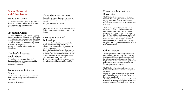## Grants, Fellowship and Other Services

## Translation Grant

Grants for the translation of Catalan literature: fiction, non-fiction, children's and YA books, poetry, theater and graphic novels. Recipients: Publishers.

## Promotion Grant

Grants to promote abroad Catalan literature (fiction, non-fiction, children's and YA books, poetry, theater and graphic novels), including participation in international literary festivals and presentations and promotional plans for new works in translation. Recipients: Publishers, Literary Events Organizers.

## Children's Illustrated

## Books Grant

Grants for the publication abroad of illustrated books by illustrators settled in Catalonia or Balearic Islands. Recipients: Publishers.

### Translators in Residence

### Grant

Grants for translators working on translations from Catalan to stay for two to six weeks in Catalonia.

Recipients: Translators.

## Travel Grants for Writers

Grants for writers to finance travel costs to carry out activities, to which they have been invited. Recipients: Writers in Catalan.

Please feel free to visit http://www.llull.cat to find out more about our Grants Programme. Institut

### Institut Ramon Llull Fellowship

Every year the Institut Ramon Llull (IRL) organises one fellowship targeted at international publishers and agents to take place in Barcelona. The invited professionals have the chance to be on the ground and to acquire firsthand an in-depth perspective on the matter in order to build networks with Catalan publishers companies and literary agencies. Travel and accommodation expenses during the fellowship will be covered by the IRL.

### Presence at International Book Fairs

The IRL attends the following book fairs: London, Paris, Bologna, Warsaw, Jerusalem, Beijing, Frankfurt, Sharjah, Istanbul and Guadalajara, informing about its services and activities.

The IRL manages and organises the presence of Catalan Culture as Guest of Honour at international book fairs. Catalan Culture was Guest of Honour at Turin Book Fair (2003), Feria del libro de Guadalajara (2004), Frankfurter Buchmesse (2007), Göteborg Book Fair (2014) and Bologna Children's Books Fair (2017). As well as that, the city of Barcelona was Guest of Honour in Paris (2013) and Warsaw (2016).

## Other Services

The IRL promotes networking between the international publishers and agents and the Catalan publishing sector. The members of the Literature and the Humanities Dpt. will be pleased to provide international publishing professionals with the contacts of Catalan authors, publishers or agents.

The IRL also offers information about the translation of Catalan literature through two databases:

-TRAC at the IRL website www.llull.cat/trac: to find out what works of Catalan literature have been translated.

-TRALICAT at the IRL website www.llull.cat/ tralicat: to browse by language the profile and contacts of literary translators from Catalan.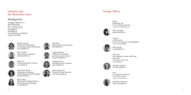## Literature and the Humanities Team

## Headquarters

Avinguda Diagonal, 373 08008 Barcelona Tel. +34 934 67 80 00 Fax +34 934 67 80 06 info@llull.cat www.llull.cat www.facebook.com/IRLlull twitter.com/irllull



Izaskun Arretxe Head of the Department of Literature and the Humanities *iarretxe@llull.cat* 



Marc Dueñas Department Coordinator *mduenas@llull.cat* 



Mísia Sert Fiction and Modern Classics *msert@llull.cat* 









Rosa Crespí Illustrated & Children's Books and Travel Grants Manager *rcrespi@llull.cat* 

Julià Florit

*jflorit@llull.cat* 

Carles Navarrete Children's & YA Books and Literary Non-Fiction *cnavarrete@llull.cat* 

Annabel García

*agarcia@llull.cat* 



Translation Grant Assistant

Poetry and Literary Festivals

Foreign Offices



 $+49$  (0) 30 208 86 43 24 Silvia Gonzalez

D-10117 Berlin, Germany



Berlin

17 Fleet Street EC4Y 1AA London, United Kingdom +44 (0) 2078420852



Mercè Estela *mestela@llull.cat* 

New York 360 Lexington Avenue, 18th Floor. Suite 1801 10017 New York, USA +12127823334



Jadranka Vrsalovic *jvrsalovic@llull.cat* 

Paris 50, rue Saint-Ferdinand 75017 Paris, France  $+33(0)142660245$ 



Raül David Martinez *rdmartinez@llull.cat*

London

Friedrichst. 185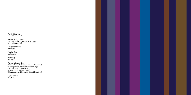First Edition: 2017 Institut Ramon Llull

Editorial Coordination Literature and Humanities Department, Institut Ramon Llull

Design and Layout Enric Jardí

Proofreading Ita Roberts

Printed by Auradigit

Photographs copyright: © C Eloi Bonjoch (Pere Calders and Blai Bonet) © Fons personal d'Aurora Betrana i Denys © Cloffat (Aurora Bertrana) © Fototeca.com (Víctor Català) © Fundació Mercè Rodoreda (Mercè Rodoreda)

Legal Deposit B-19622-17